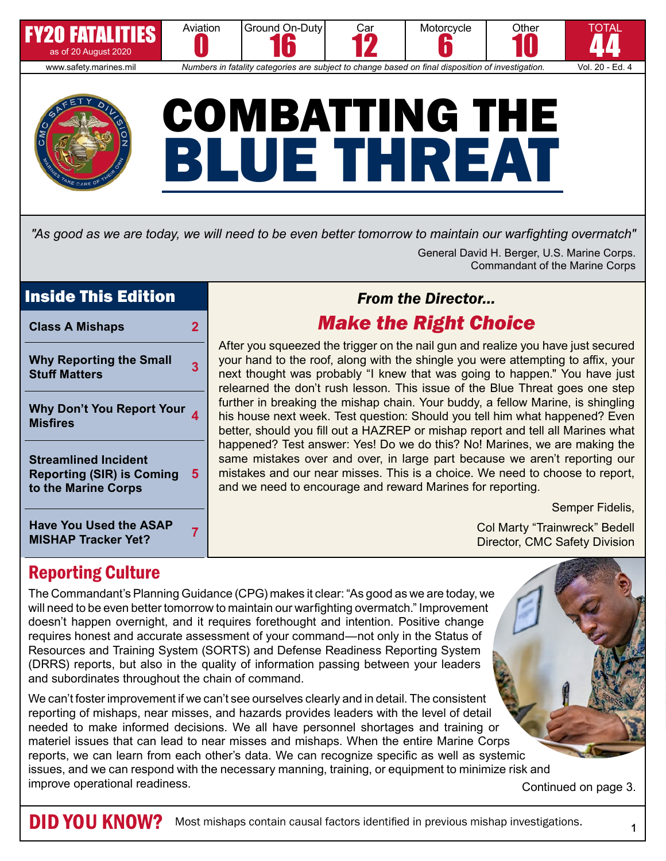

*"As good as we are today, we will need to be even better tomorrow to maintain our warfighting overmatch"*

General David H. Berger, U.S. Marine Corps. Commandant of the Marine Corps

## Inside This Edition

| <b>Class A Mishaps</b>                                                                 |   |
|----------------------------------------------------------------------------------------|---|
| <b>Why Reporting the Small</b><br><b>Stuff Matters</b>                                 |   |
| <b>Why Don't You Report Your</b><br><b>Misfires</b>                                    |   |
| <b>Streamlined Incident</b><br><b>Reporting (SIR) is Coming</b><br>to the Marine Corps | 5 |
| <b>Have You Used the ASAP</b><br><b>MISHAP Tracker Yet?</b>                            |   |

## *From the Director… Make the Right Choice*

After you squeezed the trigger on the nail gun and realize you have just secured your hand to the roof, along with the shingle you were attempting to affix, your next thought was probably "I knew that was going to happen." You have just relearned the don't rush lesson. This issue of the Blue Threat goes one step further in breaking the mishap chain. Your buddy, a fellow Marine, is shingling his house next week. Test question: Should you tell him what happened? Even better, should you fill out a HAZREP or mishap report and tell all Marines what happened? Test answer: Yes! Do we do this? No! Marines, we are making the same mistakes over and over, in large part because we aren't reporting our mistakes and our near misses. This is a choice. We need to choose to report, and we need to encourage and reward Marines for reporting.

Semper Fidelis,

Col Marty "Trainwreck" Bedell Director, CMC Safety Division

## Reporting Culture

The Commandant's Planning Guidance (CPG) makes it clear: "As good as we are today, we will need to be even better tomorrow to maintain our warfighting overmatch." Improvement doesn't happen overnight, and it requires forethought and intention. Positive change requires honest and accurate assessment of your command—not only in the Status of Resources and Training System (SORTS) and Defense Readiness Reporting System (DRRS) reports, but also in the quality of information passing between your leaders and subordinates throughout the chain of command.

We can't foster improvement if we can't see ourselves clearly and in detail. The consistent reporting of mishaps, near misses, and hazards provides leaders with the level of detail needed to make informed decisions. We all have personnel shortages and training or materiel issues that can lead to near misses and mishaps. When the entire Marine Corps reports, we can learn from each other's data. We can recognize specific as well as systemic issues, and we can respond with the necessary manning, training, or equipment to minimize risk and improve operational readiness. The continued on page 3.

DID YOU KNOW? Most mishaps contain causal factors identified in previous mishap investigations.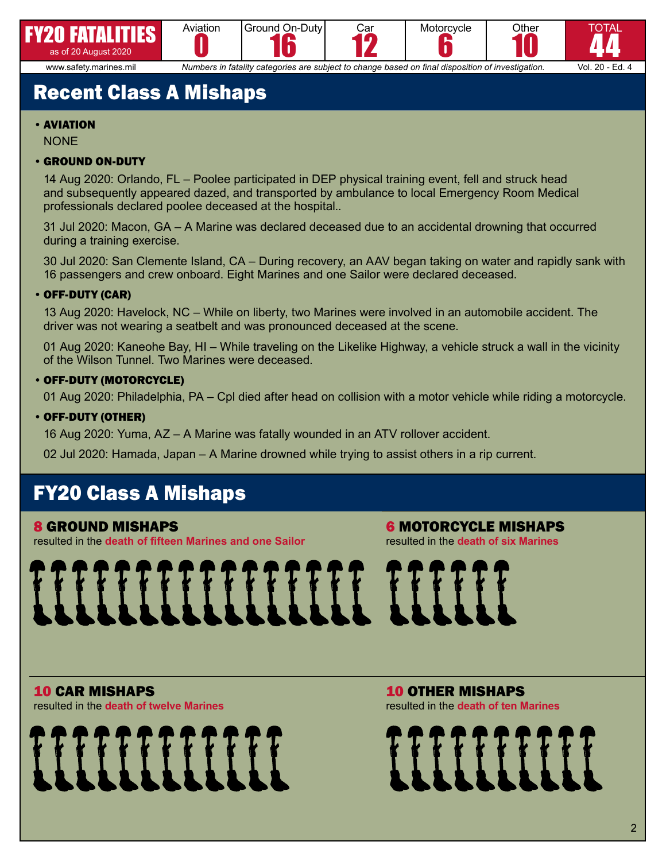







6 www.safety.marines.mil *Numbers in fatality categories are subject to change based on final disposition of investigation.* Vol. 20 - Ed. 4

# Recent Class A Mishaps

#### •AVIATION

**NONE** 

#### •GROUND ON-DUTY

14 Aug 2020: Orlando, FL – Poolee participated in DEP physical training event, fell and struck head and subsequently appeared dazed, and transported by ambulance to local Emergency Room Medical professionals declared poolee deceased at the hospital..

31 Jul 2020: Macon, GA – A Marine was declared deceased due to an accidental drowning that occurred during a training exercise.

30 Jul 2020: San Clemente Island, CA – During recovery, an AAV began taking on water and rapidly sank with 16 passengers and crew onboard. Eight Marines and one Sailor were declared deceased.

#### •OFF-DUTY (CAR)

13 Aug 2020: Havelock, NC – While on liberty, two Marines were involved in an automobile accident. The driver was not wearing a seatbelt and was pronounced deceased at the scene.

01 Aug 2020: Kaneohe Bay, HI – While traveling on the Likelike Highway, a vehicle struck a wall in the vicinity of the Wilson Tunnel. Two Marines were deceased.

#### •OFF-DUTY (MOTORCYCLE)

01 Aug 2020: Philadelphia, PA – Cpl died after head on collision with a motor vehicle while riding a motorcycle.

#### •OFF-DUTY (OTHER)

16 Aug 2020: Yuma, AZ – A Marine was fatally wounded in an ATV rollover accident.

02 Jul 2020: Hamada, Japan – A Marine drowned while trying to assist others in a rip current.

# FY20 Class A Mishaps

#### 8 GROUND MISHAPS

resulted in the **death of fifteen Marines and one Sailor**

6 MOTORCYCLE MISHAPS resulted in the **death of six Marines**

# 

10 CAR MISHAPS resulted in the **death of twelve Marines**



10 OTHER MISHAPS resulted in the **death of ten Marines**

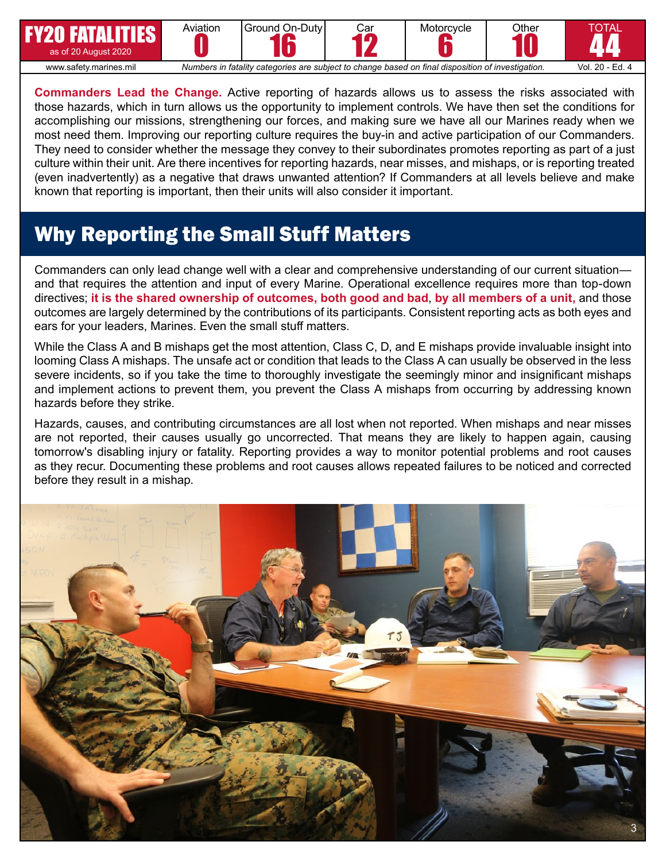| <b>FY20 FATALITIES</b><br>as of 20 August 2020 | Aviation                                                                                          | IGround On-DutvI | Car<br>0 | Motorcycle | Other | TOTAL           |
|------------------------------------------------|---------------------------------------------------------------------------------------------------|------------------|----------|------------|-------|-----------------|
| www.safety.marines.mil                         | Numbers in fatality categories are subject to change based on final disposition of investigation. |                  |          |            |       | Vol. 20 - Ed. 4 |

**Commanders Lead the Change.** Active reporting of hazards allows us to assess the risks associated with those hazards, which in turn allows us the opportunity to implement controls. We have then set the conditions for accomplishing our missions, strengthening our forces, and making sure we have all our Marines ready when we most need them. Improving our reporting culture requires the buy-in and active participation of our Commanders. They need to consider whether the message they convey to their subordinates promotes reporting as part of a just culture within their unit. Are there incentives for reporting hazards, near misses, and mishaps, or is reporting treated (even inadvertently) as a negative that draws unwanted attention? If Commanders at all levels believe and make known that reporting is important, then their units will also consider it important.

# Why Reporting the Small Stuff Matters

Commanders can only lead change well with a clear and comprehensive understanding of our current situation and that requires the attention and input of every Marine. Operational excellence requires more than top-down directives; **it is the shared ownership of outcomes, both good and bad**, **by all members of a unit,** and those outcomes are largely determined by the contributions of its participants. Consistent reporting acts as both eyes and ears for your leaders, Marines. Even the small stuff matters.

While the Class A and B mishaps get the most attention, Class C, D, and E mishaps provide invaluable insight into looming Class A mishaps. The unsafe act or condition that leads to the Class A can usually be observed in the less severe incidents, so if you take the time to thoroughly investigate the seemingly minor and insignificant mishaps and implement actions to prevent them, you prevent the Class A mishaps from occurring by addressing known hazards before they strike.

Hazards, causes, and contributing circumstances are all lost when not reported. When mishaps and near misses are not reported, their causes usually go uncorrected. That means they are likely to happen again, causing tomorrow's disabling injury or fatality. Reporting provides a way to monitor potential problems and root causes as they recur. Documenting these problems and root causes allows repeated failures to be noticed and corrected before they result in a mishap.

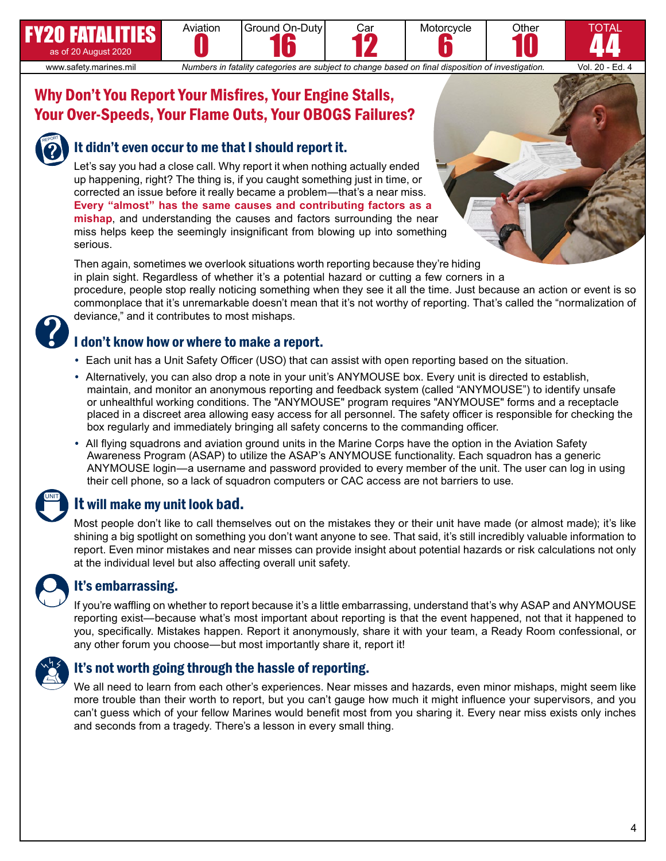# Why Don't You Report Your Misfires, Your Engine Stalls, Your Over-Speeds, Your Flame Outs, Your OBOGS Failures?

Aviation



FY20 FATALITIES as of 20 August 2020

## It didn't even occur to me that I should report it.

Let's say you had a close call. Why report it when nothing actually ended up happening, right? The thing is, if you caught something just in time, or corrected an issue before it really became a problem—that's a near miss. **Every "almost" has the same causes and contributing factors as a mishap**, and understanding the causes and factors surrounding the near miss helps keep the seemingly insignificant from blowing up into something serious.

Ground On-Duty 16

Then again, sometimes we overlook situations worth reporting because they're hiding in plain sight. Regardless of whether it's a potential hazard or cutting a few corners in a procedure, people stop really noticing something when they see it all the time. Just because an action or event is so commonplace that it's unremarkable doesn't mean that it's not worthy of reporting. That's called the "normalization of deviance," and it contributes to most mishaps.

Car

www.safety.marines.mil *Numbers in fatality categories are subject to change based on final disposition of investigation.* Vol. 20 - Ed. 4

Motorcycle 6

**Other** 

TOTAL 44

10

### I don't know how or where to make a report.

- **•** Each unit has a Unit Safety Officer (USO) that can assist with open reporting based on the situation.
- **•** Alternatively, you can also drop a note in your unit's ANYMOUSE box. Every unit is directed to establish, maintain, and monitor an anonymous reporting and feedback system (called "ANYMOUSE") to identify unsafe or unhealthful working conditions. The "ANYMOUSE" program requires "ANYMOUSE" forms and a receptacle placed in a discreet area allowing easy access for all personnel. The safety officer is responsible for checking the box regularly and immediately bringing all safety concerns to the commanding officer.
- **•** All flying squadrons and aviation ground units in the Marine Corps have the option in the Aviation Safety Awareness Program (ASAP) to utilize the ASAP's ANYMOUSE functionality. Each squadron has a generic ANYMOUSE login—a username and password provided to every member of the unit. The user can log in using their cell phone, so a lack of squadron computers or CAC access are not barriers to use.

## It will make my unit look bad.

Most people don't like to call themselves out on the mistakes they or their unit have made (or almost made); it's like shining a big spotlight on something you don't want anyone to see. That said, it's still incredibly valuable information to report. Even minor mistakes and near misses can provide insight about potential hazards or risk calculations not only at the individual level but also affecting overall unit safety.

## It's embarrassing.

If you're waffling on whether to report because it's a little embarrassing, understand that's why ASAP and ANYMOUSE reporting exist—because what's most important about reporting is that the event happened, not that it happened to you, specifically. Mistakes happen. Report it anonymously, share it with your team, a Ready Room confessional, or any other forum you choose—but most importantly share it, report it!



UNIT

## It's not worth going through the hassle of reporting.

We all need to learn from each other's experiences. Near misses and hazards, even minor mishaps, might seem like more trouble than their worth to report, but you can't gauge how much it might influence your supervisors, and you can't guess which of your fellow Marines would benefit most from you sharing it. Every near miss exists only inches and seconds from a tragedy. There's a lesson in every small thing.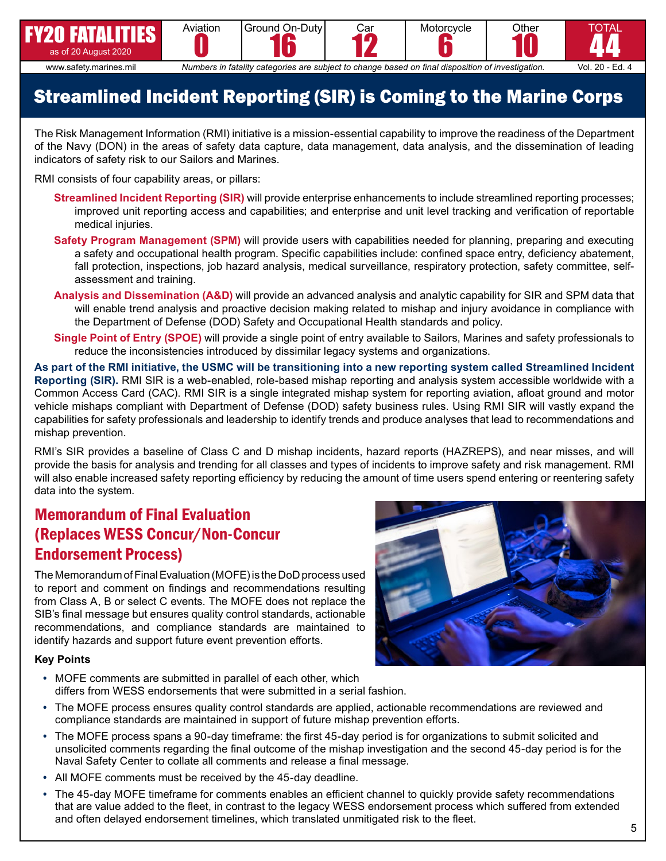

www.safety.marines.mil *Numbers in fatality categories are subject to change based on final disposition of investigation.* Vol. 20 - Ed. 4

44

TOTAL

# Streamlined Incident Reporting (SIR) is Coming to the Marine Corps

The Risk Management Information (RMI) initiative is a mission-essential capability to improve the readiness of the Department of the Navy (DON) in the areas of safety data capture, data management, data analysis, and the dissemination of leading indicators of safety risk to our Sailors and Marines.

RMI consists of four capability areas, or pillars:

- **Streamlined Incident Reporting (SIR)** will provide enterprise enhancements to include streamlined reporting processes; improved unit reporting access and capabilities; and enterprise and unit level tracking and verification of reportable medical injuries.
- **Safety Program Management (SPM)** will provide users with capabilities needed for planning, preparing and executing a safety and occupational health program. Specific capabilities include: confined space entry, deficiency abatement, fall protection, inspections, job hazard analysis, medical surveillance, respiratory protection, safety committee, selfassessment and training.
- **Analysis and Dissemination (A&D)** will provide an advanced analysis and analytic capability for SIR and SPM data that will enable trend analysis and proactive decision making related to mishap and injury avoidance in compliance with the Department of Defense (DOD) Safety and Occupational Health standards and policy.
- **Single Point of Entry (SPOE)** will provide a single point of entry available to Sailors, Marines and safety professionals to reduce the inconsistencies introduced by dissimilar legacy systems and organizations.

**As part of the RMI initiative, the USMC will be transitioning into a new reporting system called Streamlined Incident Reporting (SIR).** RMI SIR is a web-enabled, role-based mishap reporting and analysis system accessible worldwide with a Common Access Card (CAC). RMI SIR is a single integrated mishap system for reporting aviation, afloat ground and motor vehicle mishaps compliant with Department of Defense (DOD) safety business rules. Using RMI SIR will vastly expand the capabilities for safety professionals and leadership to identify trends and produce analyses that lead to recommendations and mishap prevention.

RMI's SIR provides a baseline of Class C and D mishap incidents, hazard reports (HAZREPS), and near misses, and will provide the basis for analysis and trending for all classes and types of incidents to improve safety and risk management. RMI will also enable increased safety reporting efficiency by reducing the amount of time users spend entering or reentering safety data into the system.

## Memorandum of Final Evaluation (Replaces WESS Concur/Non-Concur Endorsement Process)

The Memorandum of Final Evaluation (MOFE) is the DoD process used to report and comment on findings and recommendations resulting from Class A, B or select C events. The MOFE does not replace the SIB's final message but ensures quality control standards, actionable recommendations, and compliance standards are maintained to identify hazards and support future event prevention efforts.

#### **Key Points**

- **•** MOFE comments are submitted in parallel of each other, which differs from WESS endorsements that were submitted in a serial fashion.
- **•** The MOFE process ensures quality control standards are applied, actionable recommendations are reviewed and compliance standards are maintained in support of future mishap prevention efforts.
- **•** The MOFE process spans a 90-day timeframe: the first 45-day period is for organizations to submit solicited and unsolicited comments regarding the final outcome of the mishap investigation and the second 45-day period is for the Naval Safety Center to collate all comments and release a final message.
- **•** All MOFE comments must be received by the 45-day deadline.
- **•** The 45-day MOFE timeframe for comments enables an efficient channel to quickly provide safety recommendations that are value added to the fleet, in contrast to the legacy WESS endorsement process which suffered from extended and often delayed endorsement timelines, which translated unmitigated risk to the fleet.

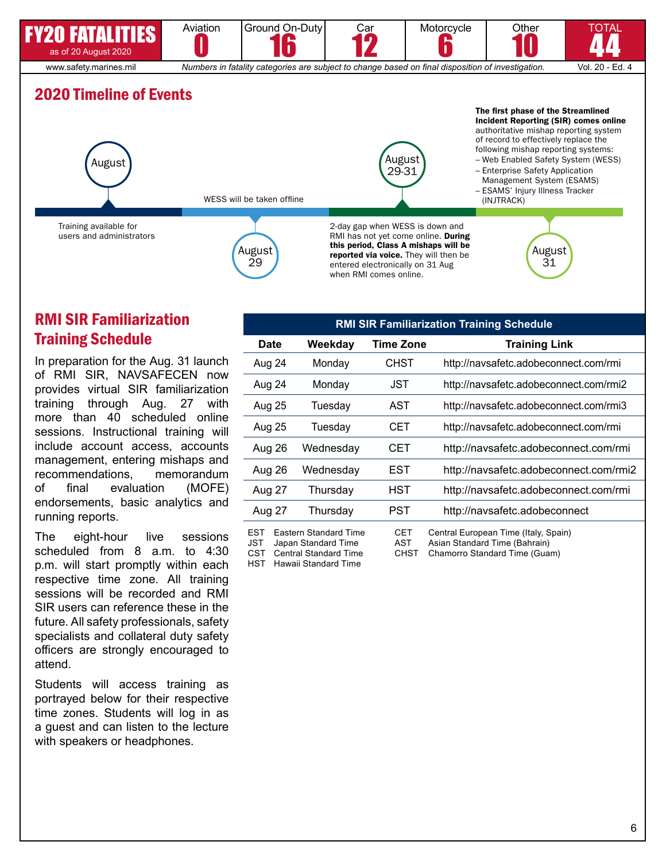

## RMI SIR Familiarization Training Schedule

In preparation for the Aug. 31 launch of RMI SIR, NAVSAFECEN now provides virtual SIR familiarization training through Aug. 27 with more than 40 scheduled online sessions. Instructional training will include account access, accounts management, entering mishaps and recommendations, memorandum of final evaluation (MOFE) endorsements, basic analytics and running reports.

The eight-hour live sessions scheduled from 8 a.m. to 4:30 p.m. will start promptly within each respective time zone. All training sessions will be recorded and RMI SIR users can reference these in the future. All safety professionals, safety specialists and collateral duty safety officers are strongly encouraged to attend.

Students will access training as portrayed below for their respective time zones. Students will log in as a guest and can listen to the lecture with speakers or headphones.

| <b>RMI SIR Familiarization Training Schedule</b> |                                                                                                             |                                  |                                                                                                        |  |  |  |
|--------------------------------------------------|-------------------------------------------------------------------------------------------------------------|----------------------------------|--------------------------------------------------------------------------------------------------------|--|--|--|
| Date                                             | Weekday                                                                                                     | Time Zone                        | <b>Training Link</b>                                                                                   |  |  |  |
| Aug 24                                           | Monday                                                                                                      | CHST                             | http://navsafetc.adobeconnect.com/rmi                                                                  |  |  |  |
| Aug 24                                           | Monday                                                                                                      | JST                              | http://navsafetc.adobeconnect.com/rmi2                                                                 |  |  |  |
| <b>Aug 25</b>                                    | Tuesday                                                                                                     | AST                              | http://navsafetc.adobeconnect.com/rmi3                                                                 |  |  |  |
| Aug 25                                           | Tuesday                                                                                                     | CET                              | http://navsafetc.adobeconnect.com/rmi                                                                  |  |  |  |
| Aug 26                                           | Wednesdav                                                                                                   | CET                              | http://navsafetc.adobeconnect.com/rmi                                                                  |  |  |  |
| Aug 26                                           | Wednesday                                                                                                   | EST                              | http://navsafetc.adobeconnect.com/rmi2                                                                 |  |  |  |
| Aug 27                                           | Thursday                                                                                                    | HST                              | http://navsafetc.adobeconnect.com/rmi                                                                  |  |  |  |
| Aug 27                                           | Thursday                                                                                                    | PST                              | http://navsafetc.adobeconnect                                                                          |  |  |  |
| <b>EST</b><br><b>JST</b><br>CST<br>HST           | <b>Eastern Standard Time</b><br>Japan Standard Time<br><b>Central Standard Time</b><br>Hawaii Standard Time | <b>CET</b><br>AST<br><b>CHST</b> | Central European Time (Italy, Spain)<br>Asian Standard Time (Bahrain)<br>Chamorro Standard Time (Guam) |  |  |  |